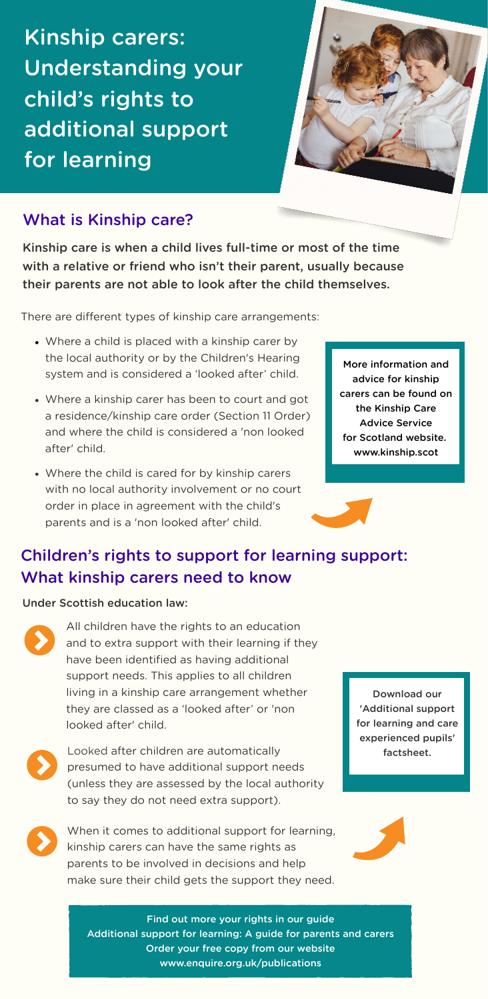Kinship care is when a child lives full-time or most of the time with a relative or friend who isn't their parent, usually because their parents are not able to look after the child themselves.

There are different types of kinship care arrangements:

Kinship carers: Understanding your child's rights to additional support for learning



## What is Kinship care?

# Children's rights to support for learning support: What kinship carers need to know

#### Under Scottish education law:



All children have the rights to an education and to extra support with their learning if they have been identified as having additional support needs. This applies to all children living in a kinship care arrangement whether they are classed as a 'looked after' or 'non looked after' child.

Looked after children are automatically presumed to have additional support needs (unless they are assessed by the local authority to say they do not need extra support).

- Where a child is placed with a kinship carer by the local authority or by the Children's Hearing system and is considered a 'looked after' child.
- Where a kinship carer has been to court and got a residence/kinship care order (Section 11 Order) and where the child is considered a 'non looked after' child.
- Where the child is cared for by kinship carers with no local authority involvement or no court order in place in agreement with the child's parents and is a 'non looked after' child.

When it comes to additional support for learning, kinship carers can have the same rights as parents to be involved in decisions and help make sure their child gets the support they need.



Find out more your rights in our guide Additional support for learning: A guide for parents and carers Order your free copy from our website [www.enquire.org.uk/publications](https://enquire.org.uk/publications/additional-support-for-learning-a-guide-for-parents-and-carers/#order-form)

More information and advice for kinship carers can be found on the Kinship Care Advice Service for Scotland website. [www.kinship.scot](http://kinship.scot/)

> Download our 'Additional support for learning and care



[experienced](https://enquire.org.uk/publications/asl-care-experienced/) pupils' factsheet.